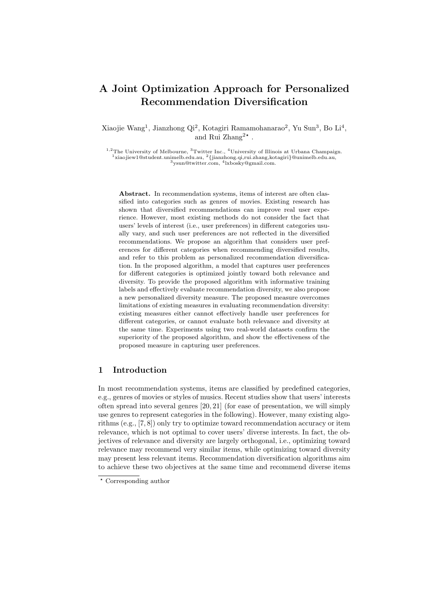# A Joint Optimization Approach for Personalized Recommendation Diversification

Xiaojie Wang<sup>1</sup>, Jianzhong Qi<sup>2</sup>, Kotagiri Ramamohanarao<sup>2</sup>, Yu Sun<sup>3</sup>, Bo Li<sup>4</sup>, and Rui Zhang<sup>2\*</sup>.

<sup>1,2</sup>The University of Melbourne, <sup>3</sup>Twitter Inc., <sup>4</sup>University of Illinois at Urbana Champaign. <sup>1</sup>xiaojiew1@student.unimelb.edu.au, <sup>2</sup>{jianzhong.qi,rui.zhang,kotagiri}@unimelb.edu.au, <sup>3</sup>ysun@twitter.com, <sup>4</sup> lxbosky@gmail.com.

Abstract. In recommendation systems, items of interest are often classified into categories such as genres of movies. Existing research has shown that diversified recommendations can improve real user experience. However, most existing methods do not consider the fact that users' levels of interest (i.e., user preferences) in different categories usually vary, and such user preferences are not reflected in the diversified recommendations. We propose an algorithm that considers user preferences for different categories when recommending diversified results, and refer to this problem as personalized recommendation diversification. In the proposed algorithm, a model that captures user preferences for different categories is optimized jointly toward both relevance and diversity. To provide the proposed algorithm with informative training labels and effectively evaluate recommendation diversity, we also propose a new personalized diversity measure. The proposed measure overcomes limitations of existing measures in evaluating recommendation diversity: existing measures either cannot effectively handle user preferences for different categories, or cannot evaluate both relevance and diversity at the same time. Experiments using two real-world datasets confirm the superiority of the proposed algorithm, and show the effectiveness of the proposed measure in capturing user preferences.

## 1 Introduction

In most recommendation systems, items are classified by predefined categories, e.g., genres of movies or styles of musics. Recent studies show that users' interests often spread into several genres [20, 21] (for ease of presentation, we will simply use genres to represent categories in the following). However, many existing algorithms (e.g., [7, 8]) only try to optimize toward recommendation accuracy or item relevance, which is not optimal to cover users' diverse interests. In fact, the objectives of relevance and diversity are largely orthogonal, i.e., optimizing toward relevance may recommend very similar items, while optimizing toward diversity may present less relevant items. Recommendation diversification algorithms aim to achieve these two objectives at the same time and recommend diverse items

<sup>\*</sup> Corresponding author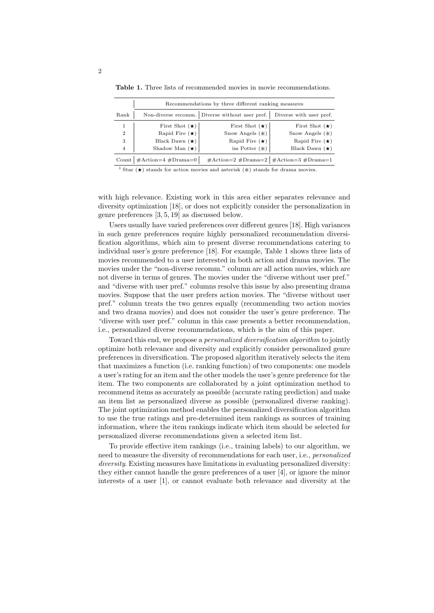Table 1. Three lists of recommended movies in movie recommendations.

|                |                                 | Recommendations by three different ranking measures                          |                      |
|----------------|---------------------------------|------------------------------------------------------------------------------|----------------------|
| Rank           |                                 | Non-diverse recomm. Diverse without user pref. Diverse with user pref.       |                      |
|                | First Shot $(\star)$            | First Shot $(\star)$                                                         | First Shot $(\star)$ |
| $\overline{2}$ | Rapid Fire $(\star)$            | Snow Angels $(*)$                                                            | Snow Angels $(*)$    |
| 3              | Black Dawn $(\star)$            | Rapid Fire $(\star)$                                                         | Rapid Fire $(\star)$ |
| 4              | Shadow Man $(\star)$            | iss Potter $(*)$                                                             | Black Dawn $(\star)$ |
|                | Count $\#$ Action=4 $#$ Drama=0 | $\#\text{Action}=2 \#\text{Drama}=2 \mid \#\text{Action}=3 \#\text{Drama}=1$ |                      |

<sup>1</sup> Star  $(\star)$  stands for action movies and asterisk  $(\star)$  stands for drama movies.

with high relevance. Existing work in this area either separates relevance and diversity optimization [18], or does not explicitly consider the personalization in genre preferences [3, 5, 19] as discussed below.

Users usually have varied preferences over different genres [18]. High variances in such genre preferences require highly personalized recommendation diversification algorithms, which aim to present diverse recommendations catering to individual user's genre preference [18]. For example, Table 1 shows three lists of movies recommended to a user interested in both action and drama movies. The movies under the "non-diverse recomm." column are all action movies, which are not diverse in terms of genres. The movies under the "diverse without user pref." and "diverse with user pref." columns resolve this issue by also presenting drama movies. Suppose that the user prefers action movies. The "diverse without user pref." column treats the two genres equally (recommending two action movies and two drama movies) and does not consider the user's genre preference. The "diverse with user pref." column in this case presents a better recommendation, i.e., personalized diverse recommendations, which is the aim of this paper.

Toward this end, we propose a personalized diversification algorithm to jointly optimize both relevance and diversity and explicitly consider personalized genre preferences in diversification. The proposed algorithm iteratively selects the item that maximizes a function (i.e. ranking function) of two components: one models a user's rating for an item and the other models the user's genre preference for the item. The two components are collaborated by a joint optimization method to recommend items as accurately as possible (accurate rating prediction) and make an item list as personalized diverse as possible (personalized diverse ranking). The joint optimization method enables the personalized diversification algorithm to use the true ratings and pre-determined item rankings as sources of training information, where the item rankings indicate which item should be selected for personalized diverse recommendations given a selected item list.

To provide effective item rankings (i.e., training labels) to our algorithm, we need to measure the diversity of recommendations for each user, i.e., personalized diversity. Existing measures have limitations in evaluating personalized diversity: they either cannot handle the genre preferences of a user [4], or ignore the minor interests of a user [1], or cannot evaluate both relevance and diversity at the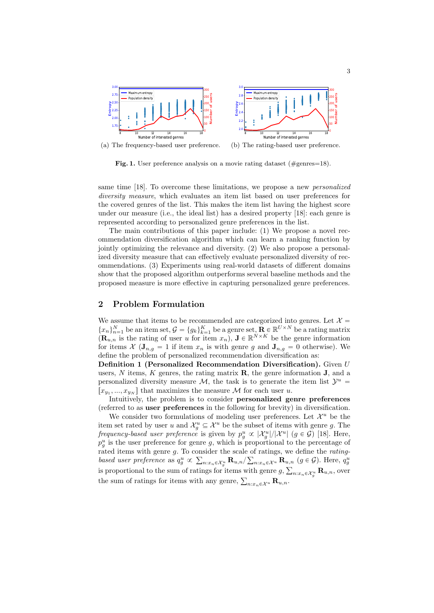

Fig. 1. User preference analysis on a movie rating dataset ( $\# \text{genses}=18$ ).

same time [18]. To overcome these limitations, we propose a new personalized diversity measure, which evaluates an item list based on user preferences for the covered genres of the list. This makes the item list having the highest score under our measure (i.e., the ideal list) has a desired property [18]: each genre is represented according to personalized genre preferences in the list.

The main contributions of this paper include: (1) We propose a novel recommendation diversification algorithm which can learn a ranking function by jointly optimizing the relevance and diversity. (2) We also propose a personalized diversity measure that can effectively evaluate personalized diversity of recommendations. (3) Experiments using real-world datasets of different domains show that the proposed algorithm outperforms several baseline methods and the proposed measure is more effective in capturing personalized genre preferences.

## 2 Problem Formulation

We assume that items to be recommended are categorized into genres. Let  $\mathcal{X} =$  ${x_n}_{n=1}^N$  be an item set,  $\mathcal{G} = {g_k}_{k=1}^K$  be a genre set,  $\mathbf{R} \in \mathbb{R}^{U \times N}$  be a rating matrix  $(\mathbf{R}_{u,n}$  is the rating of user u for item  $x_n$ ),  $\mathbf{J} \in \mathbb{R}^{N \times K}$  be the genre information for items  $\mathcal{X}$  ( $\mathbf{J}_{n,g} = 1$  if item  $x_n$  is with genre g and  $\mathbf{J}_{n,g} = 0$  otherwise). We define the problem of personalized recommendation diversification as:

Definition 1 (Personalized Recommendation Diversification). Given U users,  $N$  items,  $K$  genres, the rating matrix  $\bf{R}$ , the genre information  $\bf{J}$ , and a personalized diversity measure M, the task is to generate the item list  $\mathcal{Y}^u$  =  $[x_{y_1},...,x_{y_N}]$  that maximizes the measure M for each user u.

Intuitively, the problem is to consider personalized genre preferences (referred to as user preferences in the following for brevity) in diversification.

We consider two formulations of modeling user preferences. Let  $\mathcal{X}^u$  be the item set rated by user u and  $\mathcal{X}_{g}^{u} \subseteq \mathcal{X}^{u}$  be the subset of items with genre g. The frequency-based user preference is given by  $p_g^u \propto |\mathcal{X}_g^u|/|\mathcal{X}^u|$  ( $g \in \mathcal{G}$ ) [18]. Here,  $p_g^u$  is the user preference for genre g, which is proportional to the percentage of rated items with genre g. To consider the scale of ratings, we define the *rating*based user preference as  $q_g^u \propto \sum_{n:x_n\in\mathcal{X}_g^u} \mathbf{R}_{u,n}/\sum_{n:x_n\in\mathcal{X}^u} \mathbf{R}_{u,n}$   $(g \in \mathcal{G})$ . Here,  $q_g^u$ is proportional to the sum of ratings for items with genre  $g$ ,  $u, r$  $n:x_n\in\!\mathcal{X}_g^u \mathbf{R}_{u,n},$  over the sum of ratings for items with any genre,  $\sum_{n:x_n\in\mathcal{X}^u}\mathbf{R}_{u,n}$ .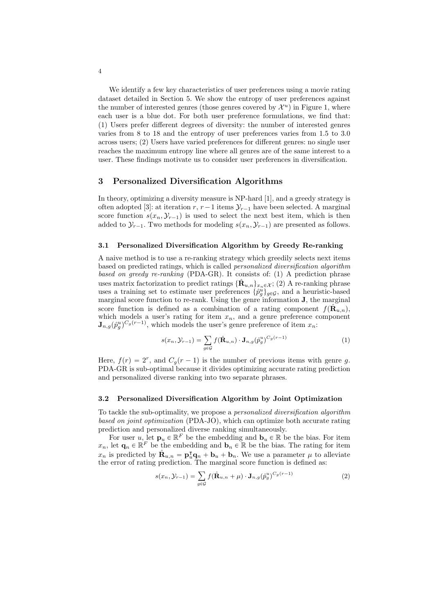We identify a few key characteristics of user preferences using a movie rating dataset detailed in Section 5. We show the entropy of user preferences against the number of interested genres (those genres covered by  $\mathcal{X}^u$ ) in Figure 1, where each user is a blue dot. For both user preference formulations, we find that: (1) Users prefer different degrees of diversity: the number of interested genres varies from 8 to 18 and the entropy of user preferences varies from 1.5 to 3.0 across users; (2) Users have varied preferences for different genres: no single user reaches the maximum entropy line where all genres are of the same interest to a user. These findings motivate us to consider user preferences in diversification.

#### 3 Personalized Diversification Algorithms

In theory, optimizing a diversity measure is NP-hard [1], and a greedy strategy is often adopted [3]: at iteration r,  $r-1$  items  $\mathcal{Y}_{r-1}$  have been selected. A marginal score function  $s(x_n, Y_{r-1})$  is used to select the next best item, which is then added to  $\mathcal{Y}_{r-1}$ . Two methods for modeling  $s(x_n, \mathcal{Y}_{r-1})$  are presented as follows.

## 3.1 Personalized Diversification Algorithm by Greedy Re-ranking

A naive method is to use a re-ranking strategy which greedily selects next items based on predicted ratings, which is called personalized diversification algorithm based on greedy re-ranking (PDA-GR). It consists of: (1) A prediction phrase uses matrix factorization to predict ratings  $\{\hat{\mathbf{R}}_{u,n}\}_{x_n \in \mathcal{X}}$ ; (2) A re-ranking phrase uses a training set to estimate user preferences  $\{\hat{p}_g^{\hat{u}}\}_{g \in \mathcal{G}}$ , and a heuristic-based marginal score function to re-rank. Using the genre information J, the marginal score function is defined as a combination of a rating component  $f(\hat{\mathbf{R}}_{u,n})$ , which models a user's rating for item  $x_n$ , and a genre preference component  $\mathbf{J}_{n,g}(\hat{p}_g^u)^{C_g(r-1)}$ , which models the user's genre preference of item  $x_n$ :

$$
s(x_n, \mathcal{Y}_{r-1}) = \sum_{g \in \mathcal{G}} f(\hat{\mathbf{R}}_{u,n}) \cdot \mathbf{J}_{n,g}(\hat{p}_g^u)^{C_g(r-1)}
$$
(1)

Here,  $f(r) = 2^r$ , and  $C_g(r - 1)$  is the number of previous items with genre g. PDA-GR is sub-optimal because it divides optimizing accurate rating prediction and personalized diverse ranking into two separate phrases.

#### 3.2 Personalized Diversification Algorithm by Joint Optimization

To tackle the sub-optimality, we propose a personalized diversification algorithm based on joint optimization (PDA-JO), which can optimize both accurate rating prediction and personalized diverse ranking simultaneously.

For user  $u,$  let  $\mathbf{p}_u \in \mathbb{R}^F$  be the embedding and  $\mathbf{b}_u \in \mathbb{R}$  be the bias. For item  $x_n$ , let  $\mathbf{q}_n \in \mathbb{R}^F$  be the embedding and  $\mathbf{b}_n \in \mathbb{R}$  be the bias. The rating for item  $x_n$  is predicted by  $\hat{\mathbf{R}}_{u,n} = \mathbf{p}_u^{\mathsf{T}} \mathbf{q}_n + \mathbf{b}_u + \mathbf{b}_n$ . We use a parameter  $\mu$  to alleviate the error of rating prediction. The marginal score function is defined as:

$$
s(x_n, \mathcal{Y}_{r-1}) = \sum_{g \in \mathcal{G}} f(\hat{\mathbf{R}}_{u,n} + \mu) \cdot \mathbf{J}_{n,g}(\hat{p}_g^u)^{C_g(r-1)}
$$
(2)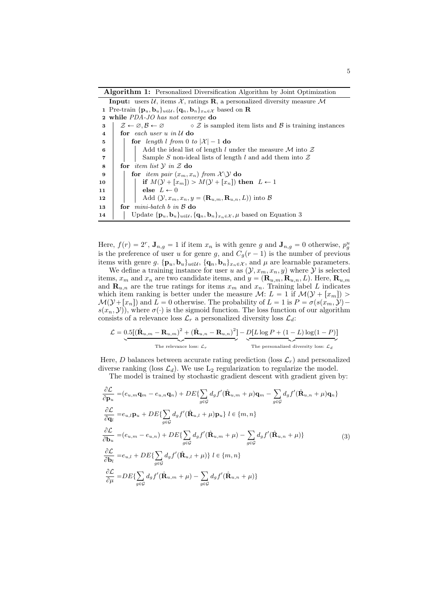Algorithm 1: Personalized Diversification Algorithm by Joint Optimization

**Input:** users  $\mathcal{U}$ , items  $\mathcal{X}$ , ratings **R**, a personalized diversity measure M

1 Pre-train  $\{\mathbf p_u, \mathbf b_u\}_{u \in \mathcal{U}}, \{\mathbf q_n, \mathbf b_n\}_{x_n \in \mathcal{X}}$  based on R 2 while PDA-JO has not converge do

3  $\mathcal{Z} \leftarrow \emptyset, \mathcal{B} \leftarrow \emptyset$   $\diamond \mathcal{Z}$  is sampled item lists and  $\mathcal{B}$  is training instances 4 for each user u in  $U$  do 5 **for** length l from 0 to  $|\mathcal{X}| - 1$  do 6  $\parallel$   $\parallel$  Add the ideal list of length l under the measure M into  $\mathcal Z$  $\mathbf{7}$  | | Sample S non-ideal lists of length l and add them into  $\mathcal{Z}$ 8 for item list  $\mathcal Y$  in  $\mathcal Z$  do 9 **b** for item pair  $(x_m, x_n)$  from  $\mathcal{X} \setminus \mathcal{Y}$  do 10 if  $M(\mathcal{Y} + [x_m]) > M(\mathcal{Y} + [x_n])$  then  $L \leftarrow 1$ 11 | else  $L \leftarrow 0$ 12 Add  $(\mathcal{Y}, x_m, x_n, y = (\mathbf{R}_{u,m}, \mathbf{R}_{u,n}, L))$  into  $\beta$ 13 for mini-batch b in B do 14 | Update  ${\bf p}_u, {\bf b}_u\}_{u \in \mathcal{U}}, {\bf q}_n, {\bf b}_n\}_{x_n \in \mathcal{X}}, \mu$  based on Equation 3

Here,  $f(r) = 2^r$ ,  $\mathbf{J}_{n,g} = 1$  if item  $x_n$  is with genre g and  $\mathbf{J}_{n,g} = 0$  otherwise,  $p_g^u$ is the preference of user u for genre g, and  $C_g(r - 1)$  is the number of previous items with genre g.  ${\{\mathbf p_u, \mathbf b_u\}_{u \in \mathcal{U}}}, {\{\mathbf q}_n, \mathbf b_n\}_{x_n \in \mathcal{X}}}$ , and  $\mu$  are learnable parameters.

We define a training instance for user u as  $(y, x_m, x_n, y)$  where  $\hat{y}$  is selected items,  $x_m$  and  $x_n$  are two candidate items, and  $y = (\mathbf{R}_{u,m}, \mathbf{R}_{u,n}, L)$ . Here,  $\mathbf{R}_{u,m}$ and  $\mathbf{R}_{u,n}$  are the true ratings for items  $x_m$  and  $x_n$ . Training label L indicates which item ranking is better under the measure  $\mathcal{M}: L = 1$  if  $\mathcal{M}(\mathcal{Y} + [x_m]) >$  $\mathcal{M}(\mathcal{Y} + [x_n])$  and  $L = 0$  otherwise. The probability of  $L = 1$  is  $P = \sigma(s(x_m, \mathcal{Y})$  $s(x_n, Y)$ , where  $\sigma(\cdot)$  is the sigmoid function. The loss function of our algorithm consists of a relevance loss  $\mathcal{L}_r$  a personalized diversity loss  $\mathcal{L}_d$ :

$$
\mathcal{L} = \underbrace{0.5[(\hat{\mathbf{R}}_{u,m} - \mathbf{R}_{u,m})^2 + (\hat{\mathbf{R}}_{u,n} - \mathbf{R}_{u,n})^2]}_{\text{The relevance loss: } \mathcal{L}_r} - \underbrace{D[L \log P + (1 - L) \log(1 - P)]}_{\text{The personalized diversity loss: } \mathcal{L}_d}
$$

Here, D balances between accurate rating prediction (loss  $\mathcal{L}_r$ ) and personalized diverse ranking (loss  $\mathcal{L}_d$ ). We use  $L_2$  regularization to regularize the model.

The model is trained by stochastic gradient descent with gradient given by:

$$
\frac{\partial \mathcal{L}}{\partial \mathbf{p}_{u}} = (e_{u,m}\mathbf{q}_{m} - e_{u,n}\mathbf{q}_{n}) + DE\{\sum_{g \in \mathcal{G}} d_{g} f'(\hat{\mathbf{R}}_{u,m} + \mu)\mathbf{q}_{m} - \sum_{g \in \mathcal{G}} d_{g} f'(\hat{\mathbf{R}}_{u,n} + \mu)\mathbf{q}_{n}\}\
$$

$$
\frac{\partial \mathcal{L}}{\partial \mathbf{q}_{l}} = e_{u,l}\mathbf{p}_{u} + DE\{\sum_{g \in \mathcal{G}} d_{g} f'(\hat{\mathbf{R}}_{u,l} + \mu)\mathbf{p}_{u}\} \quad l \in \{m, n\}
$$

$$
\frac{\partial \mathcal{L}}{\partial \mathbf{b}_{u}} = (e_{u,m} - e_{u,n}) + DE\{\sum_{g \in \mathcal{G}} d_{g} f'(\hat{\mathbf{R}}_{u,m} + \mu) - \sum_{g \in \mathcal{G}} d_{g} f'(\hat{\mathbf{R}}_{u,n} + \mu)\}\
$$
(3)
$$
\frac{\partial \mathcal{L}}{\partial \mathbf{b}_{l}} = e_{u,l} + DE\{\sum_{g \in \mathcal{G}} d_{g} f'(\hat{\mathbf{R}}_{u,l} + \mu)\} \quad l \in \{m, n\}
$$

$$
\frac{\partial \mathcal{L}}{\partial \mu} = DE\{\sum_{g \in \mathcal{G}} d_{g} f'(\hat{\mathbf{R}}_{u,m} + \mu) - \sum_{g \in \mathcal{G}} d_{g} f'(\hat{\mathbf{R}}_{u,n} + \mu)\}\
$$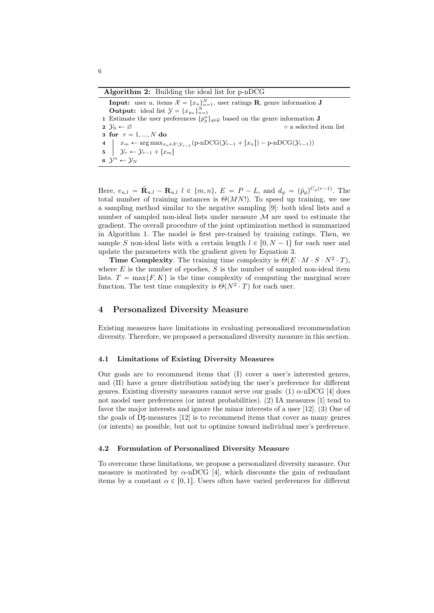Algorithm 2: Building the ideal list for p-nDCG

**Input:** user u, items  $\mathcal{X} = \{x_n\}_{n=1}^N$ , user ratings **R**, genre information **J Output:** ideal list  $\mathcal{Y} = \{x_{y_n}\}_{n=1}^N$ 

1 Estimate the user preferences  $\{p_g^u\}_{g \in \mathcal{G}}$  based on the genre information **J**  $\mathcal{Y}_0 \leftarrow \varnothing$   $\diamond$  a selected item list 3 for  $r = 1, ..., N$  do  $x_m \leftarrow \arg \max_{x_n \in \mathcal{X} \setminus \mathcal{Y}_{r-1}} (p \text{-nDCG}(\mathcal{Y}_{r-1} + [x_n]) - p \text{-nDCG}(\mathcal{Y}_{r-1}))$  $\big| \quad \mathcal{Y}_r \leftarrow \mathcal{Y}_{r-1} + [x_m]$  $\mathcal{Y}^u \leftarrow \mathcal{Y}_N$ 

Here,  $e_{u,l} = \hat{\mathbf{R}}_{u,l} - \mathbf{R}_{u,l} \; l \in \{m, n\}, E = P - L$ , and  $d_g = (\hat{p}_g)^{C_g(r-1)}$ . The total number of training instances is  $\Theta(MN!)$ . To speed up training, we use a sampling method similar to the negative sampling [9]: both ideal lists and a number of sampled non-ideal lists under measure  $\mathcal M$  are used to estimate the gradient. The overall procedure of the joint optimization method is summarized in Algorithm 1. The model is first pre-trained by training ratings. Then, we sample S non-ideal lists with a certain length  $l \in [0, N - 1]$  for each user and update the parameters with the gradient given by Equation 3.

**Time Complexity**. The training time complexity is  $\Theta(E \cdot M \cdot S \cdot N^2 \cdot T)$ , where  $E$  is the number of epoches,  $S$  is the number of sampled non-ideal item lists.  $T = \max\{F, K\}$  is the time complexity of computing the marginal score function. The test time complexity is  $\Theta(N^2 \cdot T)$  for each user.

## 4 Personalized Diversity Measure

Existing measures have limitations in evaluating personalized recommendation diversity. Therefore, we proposed a personalized diversity measure in this section.

#### 4.1 Limitations of Existing Diversity Measures

Our goals are to recommend items that (I) cover a user's interested genres, and (II) have a genre distribution satisfying the user's preference for different genres. Existing diversity measures cannot serve our goals: (1)  $\alpha$ -nDCG [4] does not model user preferences (or intent probabilities). (2) IA measures [1] tend to favor the major interests and ignore the minor interests of a user [12]. (3) One of the goals of  $D\sharp$ -measures [12] is to recommend items that cover as many genres (or intents) as possible, but not to optimize toward individual user's preference.

#### 4.2 Formulation of Personalized Diversity Measure

To overcome these limitations, we propose a personalized diversity measure. Our measure is motivated by  $\alpha$ -nDCG [4], which discounts the gain of redundant items by a constant  $\alpha \in [0, 1]$ . Users often have varied preferences for different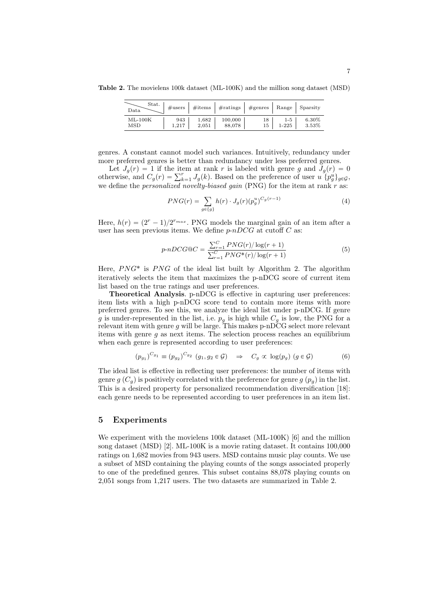Table 2. The movielens 100k dataset (ML-100K) and the million song dataset (MSD)

| $\sum_{\text{Data}}$ |       |       | $\begin{array}{c c c c} \text{Stat.} & \text{#users} & \text{#items} & \text{#rations} & \text{#generes} & \text{Range} & \text{Sparsity} \end{array}$ |    |           |       |
|----------------------|-------|-------|--------------------------------------------------------------------------------------------------------------------------------------------------------|----|-----------|-------|
| $ML-100K$            | 943   | 1,682 | 100,000                                                                                                                                                | 18 | $1-5$     | 6.30% |
| MSD                  | 1.217 | 2,051 | 88,078                                                                                                                                                 | 15 | $1 - 225$ | 3.53% |

genres. A constant cannot model such variances. Intuitively, redundancy under more preferred genres is better than redundancy under less preferred genres.

Let  $J_q(r) = 1$  if the item at rank r is labeled with genre g and  $J_q(r) = 0$ Let  $J_g(r) = 1$  if the item at rank r is labeled with genre g and  $J_g(r) = 0$ <br>otherwise, and  $C_g(r) = \sum_{k=1}^r J_g(k)$ . Based on the preference of user  $u \{p_g^u\}_{g \in \mathcal{G}}$ , we define the *personalized novelty-biased gain* (PNG) for the item at rank  $r$  as:

$$
PNG(r) = \sum_{g \in \{g\}} h(r) \cdot J_g(r) (p_g^u)^{C_g(r-1)}
$$
\n(4)

Here,  $h(r) = (2^r - 1)/2^{r_{max}}$ . PNG models the marginal gain of an item after a user has seen previous items. We define  $p\neg DCG$  at cutoff C as:

$$
p \cdot nDCG@C = \frac{\sum_{r=1}^{C} PNG(r)/\log(r+1)}{\sum_{r=1}^{C} PNG^*(r)/\log(r+1)}
$$
(5)

Here,  $PNG^*$  is  $PNG$  of the ideal list built by Algorithm 2. The algorithm iteratively selects the item that maximizes the p-nDCG score of current item list based on the true ratings and user preferences.

Theoretical Analysis. p-nDCG is effective in capturing user preferences: item lists with a high p-nDCG score tend to contain more items with more preferred genres. To see this, we analyze the ideal list under p-nDCG. If genre g is under-represented in the list, i.e.  $p_g$  is high while  $C_g$  is low, the PNG for a relevant item with genre g will be large. This makes  $p$ -nDCG select more relevant items with genre  $g$  as next items. The selection process reaches an equilibrium when each genre is represented according to user preferences:

$$
(p_{g_1})^{C_{g_1}} \equiv (p_{g_2})^{C_{g_2}} (g_1, g_2 \in \mathcal{G}) \quad \Rightarrow \quad C_g \propto \log(p_g) (g \in \mathcal{G}) \tag{6}
$$

The ideal list is effective in reflecting user preferences: the number of items with genre  $g(C_q)$  is positively correlated with the preference for genre  $g(p_q)$  in the list. This is a desired property for personalized recommendation diversification [18]: each genre needs to be represented according to user preferences in an item list.

## 5 Experiments

We experiment with the movielens 100k dataset (ML-100K) [6] and the million song dataset (MSD) [2]. ML-100K is a movie rating dataset. It contains 100,000 ratings on 1,682 movies from 943 users. MSD contains music play counts. We use a subset of MSD containing the playing counts of the songs associated properly to one of the predefined genres. This subset contains 88,078 playing counts on 2,051 songs from 1,217 users. The two datasets are summarized in Table 2.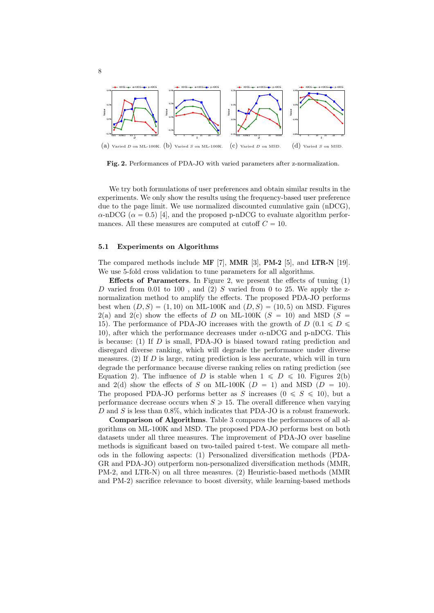

Fig. 2. Performances of PDA-JO with varied parameters after z-normalization.

We try both formulations of user preferences and obtain similar results in the experiments. We only show the results using the frequency-based user preference due to the page limit. We use normalized discounted cumulative gain (nDCG),  $\alpha$ -nDCG ( $\alpha = 0.5$ ) [4], and the proposed p-nDCG to evaluate algorithm performances. All these measures are computed at cutoff  $C = 10$ .

#### 5.1 Experiments on Algorithms

8

The compared methods include MF [7], MMR [3], PM-2 [5], and LTR-N [19]. We use 5-fold cross validation to tune parameters for all algorithms.

**Effects of Parameters.** In Figure 2, we present the effects of tuning  $(1)$  $D$  varied from 0.01 to 100, and (2)  $S$  varied from 0 to 25. We apply the znormalization method to amplify the effects. The proposed PDA-JO performs best when  $(D, S) = (1, 10)$  on ML-100K and  $(D, S) = (10, 5)$  on MSD. Figures 2(a) and 2(c) show the effects of D on ML-100K ( $S = 10$ ) and MSD ( $S =$ 15). The performance of PDA-JO increases with the growth of  $D(0.1 \leq D \leq \mathbb{R})$ 10), after which the performance decreases under  $\alpha$ -nDCG and p-nDCG. This is because: (1) If  $D$  is small, PDA-JO is biased toward rating prediction and disregard diverse ranking, which will degrade the performance under diverse measures. (2) If  $D$  is large, rating prediction is less accurate, which will in turn degrade the performance because diverse ranking relies on rating prediction (see Equation 2). The influence of D is stable when  $1 \le D \le 10$ . Figures 2(b) and 2(d) show the effects of S on ML-100K ( $D = 1$ ) and MSD ( $D = 10$ ). The proposed PDA-JO performs better as S increases  $(0 \le S \le 10)$ , but a performance decrease occurs when  $S \geq 15$ . The overall difference when varying D and S is less than 0.8%, which indicates that PDA-JO is a robust framework.

Comparison of Algorithms. Table 3 compares the performances of all algorithms on ML-100K and MSD. The proposed PDA-JO performs best on both datasets under all three measures. The improvement of PDA-JO over baseline methods is significant based on two-tailed paired t-test. We compare all methods in the following aspects: (1) Personalized diversification methods (PDA-GR and PDA-JO) outperform non-personalized diversification methods (MMR, PM-2, and LTR-N) on all three measures. (2) Heuristic-based methods (MMR and PM-2) sacrifice relevance to boost diversity, while learning-based methods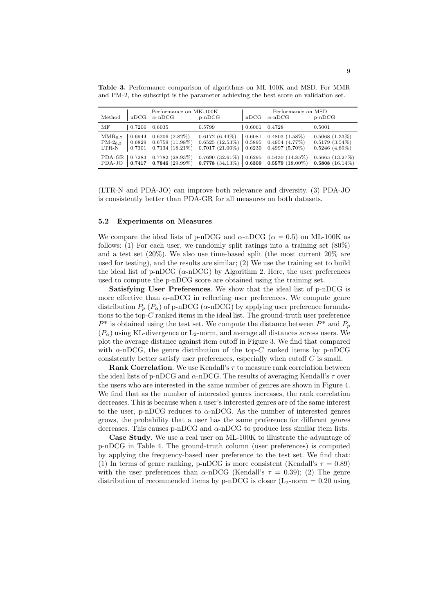| Method<br>nDCG                                             | Performance on MK-100K<br>$\alpha$ -n $DCG$                                        | $p\text{-}nDCG$                                                                                                          | nDCG          | Performance on MSD<br>$\alpha$ -n $DCG$                                                  | $p\text{-}nDCG$                                          |
|------------------------------------------------------------|------------------------------------------------------------------------------------|--------------------------------------------------------------------------------------------------------------------------|---------------|------------------------------------------------------------------------------------------|----------------------------------------------------------|
| MF<br>0.7206                                               | 0.6035                                                                             | 0.5799                                                                                                                   | 0.6061 0.4728 |                                                                                          | 0.5001                                                   |
| $MMR_{0.7}$<br>$PM-20.5$<br>$\pm 0.6829$<br>$_{\rm LTR-N}$ | $0.6944$ $0.6206$ $(2.82\%)$<br>$0.6759(11.98\%)$<br>$0.7301$ $0.7134$ $(18.21\%)$ | $0.6172(6.44\%)$<br>0.6525(12.53%)<br>$0.7017(21.00\%)$                                                                  | 0.6230        | $\vert 0.6081 \, 0.4803 \, (1.58\%)$<br>$0.5895$ $0.4954$ $(4.77\%)$<br>$0.4997(5.70\%)$ | $0.5068(1.33\%)$<br>$0.5179(3.54\%)$<br>$0.5246(4.89\%)$ |
| $PDA-GR$   0.7283<br>PDA-JO $\vert$ 0.7417                 | $0.7782(28.93\%)$                                                                  | $0.7690(32.61\%)$   $0.6295$ 0.5430 (14.85%)<br>$0.7846$ (29.99%) $0.7778$ (34.13%) $\vert 0.6309 \quad 0.5579$ (18.00%) |               |                                                                                          | $0.5665$ $(13.27\%)$<br>$0.5808(16.14\%)$                |

Table 3. Performance comparison of algorithms on ML-100K and MSD. For MMR and PM-2, the subscript is the parameter achieving the best score on validation set.

(LTR-N and PDA-JO) can improve both relevance and diversity. (3) PDA-JO is consistently better than PDA-GR for all measures on both datasets.

#### 5.2 Experiments on Measures

We compare the ideal lists of p-nDCG and  $\alpha$ -nDCG ( $\alpha = 0.5$ ) on ML-100K as follows: (1) For each user, we randomly split ratings into a training set (80%) and a test set (20%). We also use time-based split (the most current 20% are used for testing), and the results are similar; (2) We use the training set to build the ideal list of p-nDCG  $(\alpha$ -nDCG) by Algorithm 2. Here, the user preferences used to compute the p-nDCG score are obtained using the training set.

Satisfying User Preferences. We show that the ideal list of p-nDCG is more effective than  $\alpha$ -nDCG in reflecting user preferences. We compute genre distribution  $P_p(P_\alpha)$  of p-nDCG ( $\alpha$ -nDCG) by applying user preference formulations to the top- $C$  ranked items in the ideal list. The ground-truth user preference  $P^*$  is obtained using the test set. We compute the distance between  $P^*$  and  $P_p$  $(P_{\alpha})$  using KL-divergence or L<sub>2</sub>-norm, and average all distances across users. We plot the average distance against item cutoff in Figure 3. We find that compared with  $\alpha$ -nDCG, the genre distribution of the top-C ranked items by p-nDCG consistently better satisfy user preferences, especially when cutoff  $C$  is small.

**Rank Correlation.** We use Kendall's  $\tau$  to measure rank correlation between the ideal lists of p-nDCG and  $\alpha$ -nDCG. The results of averaging Kendall's  $\tau$  over the users who are interested in the same number of genres are shown in Figure 4. We find that as the number of interested genres increases, the rank correlation decreases. This is because when a user's interested genres are of the same interest to the user, p-nDCG reduces to  $\alpha$ -nDCG. As the number of interested genres grows, the probability that a user has the same preference for different genres decreases. This causes p-nDCG and  $\alpha$ -nDCG to produce less similar item lists.

Case Study. We use a real user on ML-100K to illustrate the advantage of p-nDCG in Table 4. The ground-truth column (user preferences) is computed by applying the frequency-based user preference to the test set. We find that: (1) In terms of genre ranking, p-nDCG is more consistent (Kendall's  $\tau = 0.89$ ) with the user preferences than  $\alpha$ -nDCG (Kendall's  $\tau = 0.39$ ); (2) The genre distribution of recommended items by p-nDCG is closer  $(L_2\text{-norm} = 0.20 \text{ using})$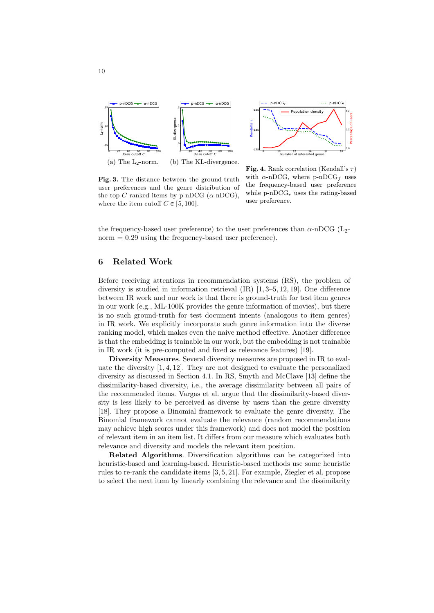

Fig. 3. The distance between the ground-truth user preferences and the genre distribution of the top-C ranked items by p-nDCG ( $\alpha$ -nDCG), where the item cutoff  $C \in [5, 100]$ .

Fig. 4. Rank correlation (Kendall's  $\tau$ ) with  $\alpha$ -nDCG, where p-nDCG<sub>f</sub> uses the frequency-based user preference while  $p\n-DCG_r$  uses the rating-based user preference.

 $0.0$  and  $0.0$ 

 $0.1 \, \mathcal{D}$ 

Percentage of users<br>"

 $0.2$ 

the frequency-based user preference) to the user preferences than  $\alpha$ -nDCG (L<sub>2</sub>norm = 0.29 using the frequency-based user preference).

## 6 Related Work

Before receiving attentions in recommendation systems (RS), the problem of diversity is studied in information retrieval (IR) [1, 3–5, 12, 19]. One difference between IR work and our work is that there is ground-truth for test item genres in our work (e.g., ML-100K provides the genre information of movies), but there is no such ground-truth for test document intents (analogous to item genres) in IR work. We explicitly incorporate such genre information into the diverse ranking model, which makes even the naive method effective. Another difference is that the embedding is trainable in our work, but the embedding is not trainable in IR work (it is pre-computed and fixed as relevance features) [19].

Diversity Measures. Several diversity measures are proposed in IR to evaluate the diversity [1, 4, 12]. They are not designed to evaluate the personalized diversity as discussed in Section 4.1. In RS, Smyth and McClave [13] define the dissimilarity-based diversity, i.e., the average dissimilarity between all pairs of the recommended items. Vargas et al. argue that the dissimilarity-based diversity is less likely to be perceived as diverse by users than the genre diversity [18]. They propose a Binomial framework to evaluate the genre diversity. The Binomial framework cannot evaluate the relevance (random recommendations may achieve high scores under this framework) and does not model the position of relevant item in an item list. It differs from our measure which evaluates both relevance and diversity and models the relevant item position.

Related Algorithms. Diversification algorithms can be categorized into heuristic-based and learning-based. Heuristic-based methods use some heuristic rules to re-rank the candidate items [3, 5, 21]. For example, Ziegler et al. propose to select the next item by linearly combining the relevance and the dissimilarity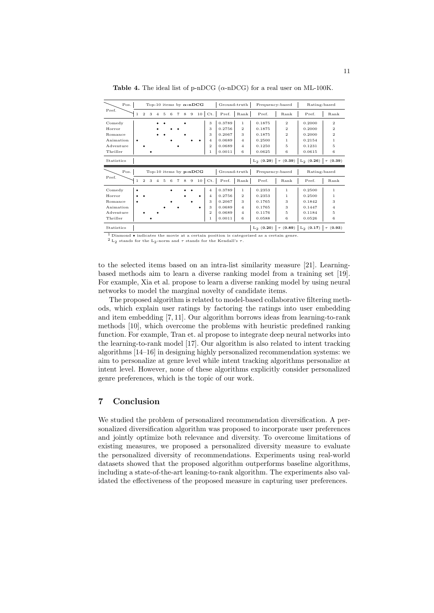| Pos.              |              |                |    |            |   |                |   |   | Top-10 items by $\alpha$ -nDCG |                | Ground-truth |                | Frequency-based |                | Rating-based                        |                |
|-------------------|--------------|----------------|----|------------|---|----------------|---|---|--------------------------------|----------------|--------------|----------------|-----------------|----------------|-------------------------------------|----------------|
| Pref.             | $\mathbf{1}$ | $\overline{2}$ | 3  | $4\quad 5$ | 6 | $\overline{7}$ | 8 | 9 | 10 <sup>1</sup>                | Ct.            | Pref.        | Rank           | Pref.           | Rank           | Pref.                               | Rank           |
| Comedy            |              |                |    |            |   |                |   |   |                                | 3              | 0.3789       | $\mathbf{1}$   | 0.1875          | $\overline{2}$ | 0.2000                              | $\overline{2}$ |
| Horror            |              |                |    |            |   |                |   |   |                                | 3              | 0.2756       | $\overline{2}$ | 0.1875          | $\overline{2}$ | 0.2000                              | $\overline{2}$ |
| <b>Romance</b>    |              |                |    |            |   |                |   |   |                                | 3              | 0.2067       | 3              | 0.1875          | $\overline{2}$ | 0.2000                              | $\overline{2}$ |
| Animation         | ٠            |                |    |            |   |                |   |   |                                | 4              | 0.0689       | $\overline{4}$ | 0.2500          | 1              | 0.2154                              | 1              |
| Adventure         |              |                |    |            |   |                |   |   |                                | $\overline{2}$ | 0.0689       | $\overline{4}$ | 0.1250          | 5              | 0.1231                              | 5              |
| Thriller          |              |                |    |            |   |                |   |   |                                | 1              | 0.0011       | 6              | 0.0625          | 6              | 0.0615                              | 6              |
| <b>Statistics</b> |              |                |    |            |   |                |   |   |                                |                |              |                | $L_2(0.29)$     |                | $\tau$ (0.39) L <sub>2</sub> (0.26) | $\tau$ (0.39)  |
|                   |              |                |    |            |   |                |   |   |                                |                |              |                |                 |                |                                     |                |
| Pos.              |              |                |    |            |   |                |   |   | Top-10 items by $p$ -nDCG      |                | Ground-truth |                | Frequency-based |                | Rating-based                        |                |
| Pref.             | $\mathbf{1}$ | $\overline{2}$ | -3 | 4 5        | 6 | 7 8            |   | 9 | 10 <sup>1</sup>                | Ct.            | Pref.        | Rank           | Pref.           | Rank           | Pref.                               | Rank           |
| Comedy            |              |                |    |            |   |                |   |   |                                | $\overline{4}$ | 0.3789       | $\mathbf{1}$   | 0.2353          | 1              | 0.2500                              | 1              |
| Horror            |              |                |    |            |   |                |   |   | ٠                              | $\overline{4}$ | 0.2756       | $\overline{2}$ | 0.2353          | 1              | 0.2500                              | 1              |
| Romance           |              |                |    |            |   |                |   |   |                                | 3              | 0.2067       | 3              | 0.1765          | 3              | 0.1842                              | 3              |
| Animation         |              |                |    |            |   |                |   |   |                                | 3              | 0.0689       | $\overline{4}$ | 0.1765          | 3              | 0.1447                              | $\overline{4}$ |
| Adventure         |              |                |    |            |   |                |   |   |                                | $\overline{2}$ | 0.0689       | $\overline{4}$ | 0.1176          | 5              | 0.1184                              | 5              |
| Thriller          |              |                |    |            |   |                |   |   |                                | 1              | 0.0011       | 6              | 0.0588          | 6              | 0.0526                              | 6              |

Table 4. The ideal list of p-nDCG ( $\alpha$ -nDCG) for a real user on ML-100K.

 $Diamond \rightarrow indicates the movie at a certain position is categorized as a certain genre.$  $^2$  L<sub>2</sub> stands for the L<sub>2</sub>-norm and  $\tau$  stands for the Kendall's  $\tau$ 

to the selected items based on an intra-list similarity measure [21]. Learningbased methods aim to learn a diverse ranking model from a training set [19]. For example, Xia et al. propose to learn a diverse ranking model by using neural networks to model the marginal novelty of candidate items.

The proposed algorithm is related to model-based collaborative filtering methods, which explain user ratings by factoring the ratings into user embedding and item embedding [7, 11]. Our algorithm borrows ideas from learning-to-rank methods [10], which overcome the problems with heuristic predefined ranking function. For example, Tran et. al propose to integrate deep neural networks into the learning-to-rank model [17]. Our algorithm is also related to intent tracking algorithms [14–16] in designing highly personalized recommendation systems: we aim to personalize at genre level while intent tracking algorithms personalize at intent level. However, none of these algorithms explicitly consider personalized genre preferences, which is the topic of our work.

## 7 Conclusion

We studied the problem of personalized recommendation diversification. A personalized diversification algorithm was proposed to incorporate user preferences and jointly optimize both relevance and diversity. To overcome limitations of existing measures, we proposed a personalized diversity measure to evaluate the personalized diversity of recommendations. Experiments using real-world datasets showed that the proposed algorithm outperforms baseline algorithms, including a state-of-the-art leaning-to-rank algorithm. The experiments also validated the effectiveness of the proposed measure in capturing user preferences.